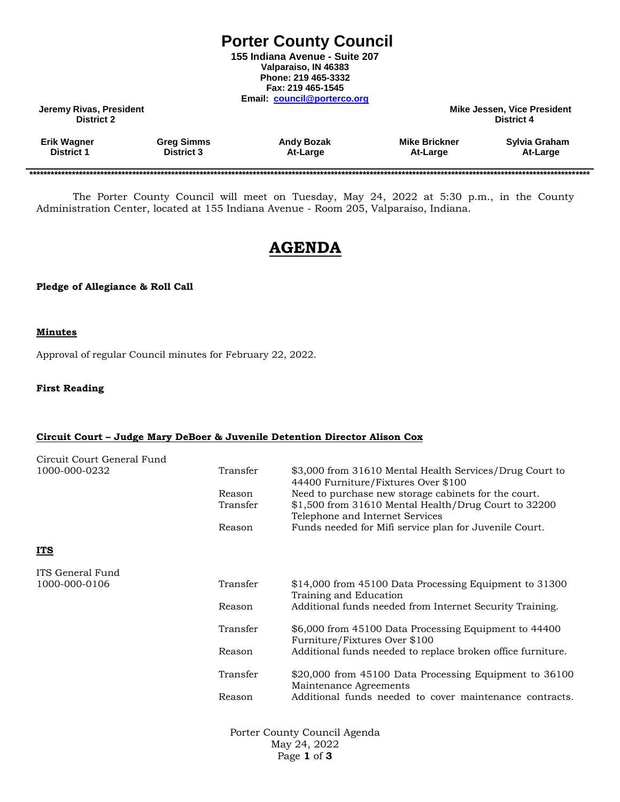## **Porter County Council**

**155 Indiana Avenue - Suite 207 Valparaiso, IN 46383 Phone: 219 465-3332 Fax: 219 465-1545 Email: [council@porterco.org](mailto:council@porterco.org)**

**Jeremy Rivas, President Mike Jessen, Vice President District 2 District 4**

| <b>Erik Wagner</b> | <b>Greg Simms</b> | <b>Andy Bozak</b> | <b>Mike Brickner</b> | Sylvia Graham |
|--------------------|-------------------|-------------------|----------------------|---------------|
| District 1         | <b>District 3</b> | At-Large          | At-Large             | At-Large      |
|                    |                   |                   |                      |               |

**\*\*\*\*\*\*\*\*\*\*\*\*\*\*\*\*\*\*\*\*\*\*\*\*\*\*\*\*\*\*\*\*\*\*\*\*\*\*\*\*\*\*\*\*\*\*\*\*\*\*\*\*\*\*\*\*\*\*\*\*\*\*\*\*\*\*\*\*\*\*\*\*\*\*\*\*\*\*\*\*\*\*\*\*\*\*\*\*\*\*\*\*\*\*\*\*\*\*\*\*\*\*\*\*\*\*\*\*\*\*\*\*\*\*\*\*\*\*\*\*\*\*\*\*\*\*\*\*\*\*\*\*\*\*\*\*\*\*\*\*\*\*\*\*\*\*\*\*\*\*\*\*\*\*\*\*\*\***

The Porter County Council will meet on Tuesday, May 24, 2022 at 5:30 p.m., in the County Administration Center, located at 155 Indiana Avenue - Room 205, Valparaiso, Indiana.

# **AGENDA**

#### **Pledge of Allegiance & Roll Call**

#### **Minutes**

Approval of regular Council minutes for February 22, 2022.

#### **First Reading**

#### **Circuit Court – Judge Mary DeBoer & Juvenile Detention Director Alison Cox**

| Circuit Court General Fund |          |                                                                                                |
|----------------------------|----------|------------------------------------------------------------------------------------------------|
| 1000-000-0232              | Transfer | \$3,000 from 31610 Mental Health Services/Drug Court to<br>44400 Furniture/Fixtures Over \$100 |
|                            | Reason   | Need to purchase new storage cabinets for the court.                                           |
|                            | Transfer | \$1,500 from 31610 Mental Health/Drug Court to 32200<br>Telephone and Internet Services        |
|                            | Reason   | Funds needed for Mifi service plan for Juvenile Court.                                         |
| <u>ITS</u>                 |          |                                                                                                |
| ITS General Fund           |          |                                                                                                |
| 1000-000-0106              | Transfer | \$14,000 from 45100 Data Processing Equipment to 31300<br>Training and Education               |
|                            | Reason   | Additional funds needed from Internet Security Training.                                       |
|                            | Transfer | \$6,000 from 45100 Data Processing Equipment to 44400<br>Furniture/Fixtures Over \$100         |
|                            | Reason   | Additional funds needed to replace broken office furniture.                                    |
|                            | Transfer | \$20,000 from 45100 Data Processing Equipment to 36100<br>Maintenance Agreements               |
|                            | Reason   | Additional funds needed to cover maintenance contracts.                                        |
|                            |          |                                                                                                |

Porter County Council Agenda May 24, 2022 Page **1** of **3**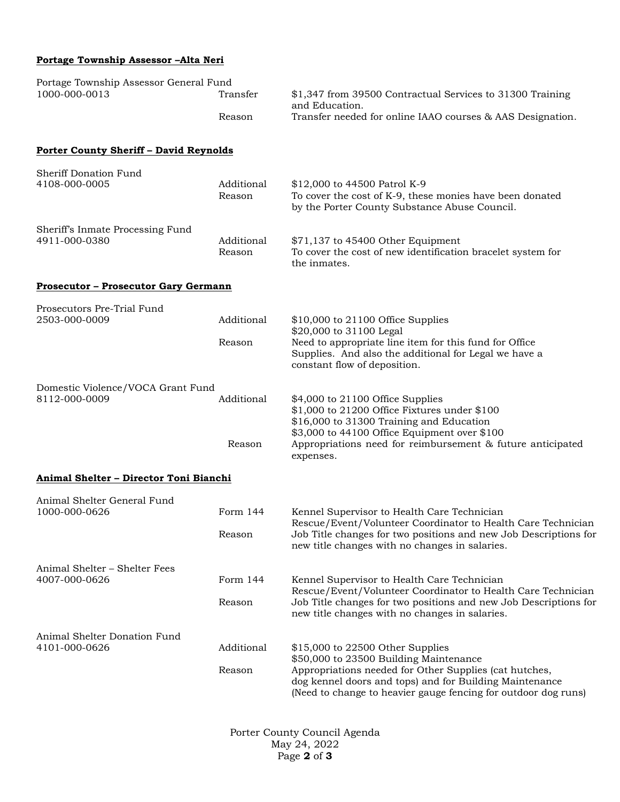## **Portage Township Assessor –Alta Neri**

| Portage Township Assessor General Fund             |                      |                                                                                                                                                                                                                                   |  |
|----------------------------------------------------|----------------------|-----------------------------------------------------------------------------------------------------------------------------------------------------------------------------------------------------------------------------------|--|
| 1000-000-0013                                      | Transfer             | \$1,347 from 39500 Contractual Services to 31300 Training<br>and Education.                                                                                                                                                       |  |
|                                                    | Reason               | Transfer needed for online IAAO courses & AAS Designation.                                                                                                                                                                        |  |
| <b>Porter County Sheriff - David Reynolds</b>      |                      |                                                                                                                                                                                                                                   |  |
| Sheriff Donation Fund<br>4108-000-0005             | Additional<br>Reason | \$12,000 to 44500 Patrol K-9<br>To cover the cost of K-9, these monies have been donated<br>by the Porter County Substance Abuse Council.                                                                                         |  |
| Sheriff's Inmate Processing Fund<br>4911-000-0380  | Additional<br>Reason | \$71,137 to 45400 Other Equipment<br>To cover the cost of new identification bracelet system for<br>the inmates.                                                                                                                  |  |
| <b>Prosecutor - Prosecutor Gary Germann</b>        |                      |                                                                                                                                                                                                                                   |  |
| Prosecutors Pre-Trial Fund<br>2503-000-0009        | Additional           | $$10,000$ to 21100 Office Supplies<br>\$20,000 to 31100 Legal                                                                                                                                                                     |  |
|                                                    | Reason               | Need to appropriate line item for this fund for Office<br>Supplies. And also the additional for Legal we have a<br>constant flow of deposition.                                                                                   |  |
| Domestic Violence/VOCA Grant Fund<br>8112-000-0009 | Additional           | \$4,000 to 21100 Office Supplies<br>\$1,000 to 21200 Office Fixtures under \$100<br>\$16,000 to 31300 Training and Education<br>\$3,000 to 44100 Office Equipment over \$100                                                      |  |
|                                                    | Reason               | Appropriations need for reimbursement & future anticipated<br>expenses.                                                                                                                                                           |  |
| Animal Shelter - Director Toni Bianchi             |                      |                                                                                                                                                                                                                                   |  |
| Animal Shelter General Fund                        | Form 144             |                                                                                                                                                                                                                                   |  |
| 1000-000-0626                                      | Reason               | Kennel Supervisor to Health Care Technician<br>Rescue/Event/Volunteer Coordinator to Health Care Technician<br>Job Title changes for two positions and new Job Descriptions for<br>new title changes with no changes in salaries. |  |
| Animal Shelter – Shelter Fees                      |                      |                                                                                                                                                                                                                                   |  |
| 4007-000-0626                                      | Form 144             | Kennel Supervisor to Health Care Technician<br>Rescue/Event/Volunteer Coordinator to Health Care Technician                                                                                                                       |  |
|                                                    | Reason               | Job Title changes for two positions and new Job Descriptions for<br>new title changes with no changes in salaries.                                                                                                                |  |
| Animal Shelter Donation Fund<br>4101-000-0626      | Additional           | \$15,000 to 22500 Other Supplies<br>\$50,000 to 23500 Building Maintenance                                                                                                                                                        |  |
|                                                    | Reason               | Appropriations needed for Other Supplies (cat hutches,<br>dog kennel doors and tops) and for Building Maintenance<br>(Need to change to heavier gauge fencing for outdoor dog runs)                                               |  |

Porter County Council Agenda May 24, 2022 Page **2** of **3**